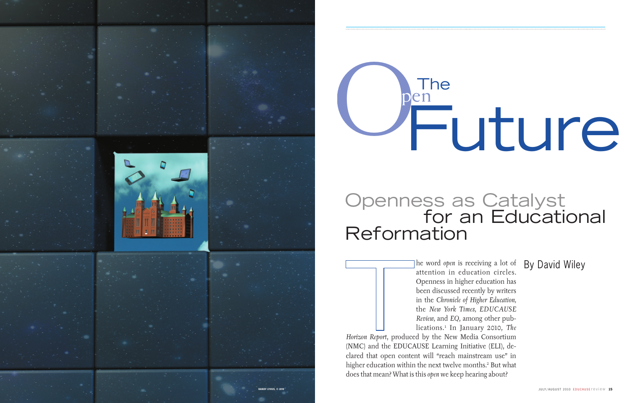he word *open* is receiving a lot of By David Wiley attention in education circles. Openness in higher education has been discussed recently by writers in the *Chronicle of Higher Education,* the *New York Times, EDUCAUSE Review,* and *EQ*, among other publications.1 In January 2010, *The* 

 *Horizon Report*, produced by the New Media Consortium (NMC) and the EDUCAUSE Learning Initiative (ELI), declared that open content will "reach mainstream use" in higher education within the next twelve months. 2 But what does that mean? What is this *open* we keep hearing about?



# The<br>en Future **Open**

## Openness as Catalyst **For an Educational** Reformation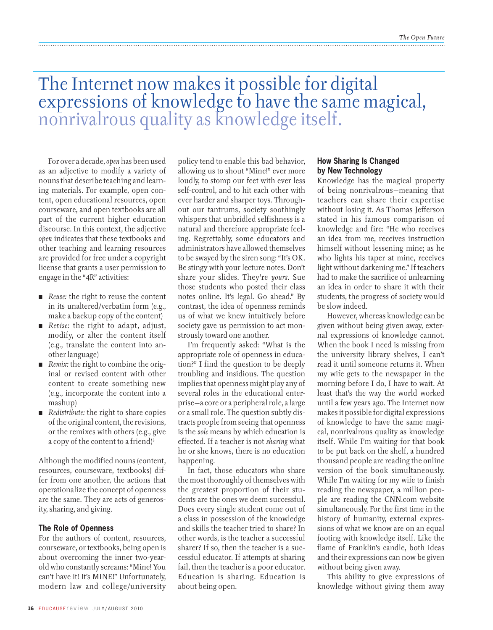## The Internet now makes it possible for digital expressions of knowledge to have the same magical, nonrivalrous quality as knowledge itself.

For over a decade, *open* has been used as an adjective to modify a variety of nouns that describe teaching and learning materials. For example, open content, open educational resources, open courseware, and open textbooks are all part of the current higher education discourse. In this context, the adjective *open* indicates that these textbooks and other teaching and learning resources are provided for free under a copyright license that grants a user permission to engage in the "4R" activities:

- n *Reuse:* the right to reuse the content in its unaltered/verbatim form (e.g., make a backup copy of the content)
- *Revise:* the right to adapt, adjust, modify, or alter the content itself (e.g., translate the content into another language)
- *Remix:* the right to combine the original or revised content with other content to create something new (e.g., incorporate the content into a mashup)
- *Redistribute:* the right to share copies of the original content, the revisions, or the remixes with others (e.g., give a copy of the content to a friend)<sup>3</sup>

Although the modified nouns (content, resources, courseware, textbooks) differ from one another, the actions that operationalize the concept of openness are the same. They are acts of generosity, sharing, and giving.

### **The Role of Openness**

For the authors of content, resources, courseware, or textbooks, being open is about overcoming the inner two-yearold who constantly screams: "Mine! You can't have it! It's MINE!" Unfortunately, modern law and college/university policy tend to enable this bad behavior, allowing us to shout "Mine!" ever more loudly, to stomp our feet with ever less self-control, and to hit each other with ever harder and sharper toys. Throughout our tantrums, society soothingly whispers that unbridled selfishness is a natural and therefore appropriate feeling. Regrettably, some educators and administrators have allowed themselves to be swayed by the siren song: "It's OK. Be stingy with your lecture notes. Don't share your slides. They're *yours*. Sue those students who posted their class notes online. It's legal. Go ahead." By contrast, the idea of openness reminds us of what we knew intuitively before society gave us permission to act monstrously toward one another.

I'm frequently asked: "What is the appropriate role of openness in education?" I find the question to be deeply troubling and insidious. The question implies that openness might play any of several roles in the educational enterprise—a core or a peripheral role, a large or a small role. The question subtly distracts people from seeing that openness is the *sole* means by which education is effected. If a teacher is not *sharing* what he or she knows, there is no education happening.

In fact, those educators who share the most thoroughly of themselves with the greatest proportion of their students are the ones we deem successful. Does every single student come out of a class in possession of the knowledge and skills the teacher tried to share? In other words, is the teacher a successful sharer? If so, then the teacher is a successful educator. If attempts at sharing fail, then the teacher is a poor educator. Education is sharing. Education is about being open.

## **How Sharing Is Changed by New Technology**

Knowledge has the magical property of being nonrivalrous—meaning that teachers can share their expertise without losing it. As Thomas Jefferson stated in his famous comparison of knowledge and fire: "He who receives an idea from me, receives instruction himself without lessening mine; as he who lights his taper at mine, receives light without darkening me." If teachers had to make the sacrifice of unlearning an idea in order to share it with their students, the progress of society would be slow indeed.

However, whereas knowledge can be given without being given away, external expressions of knowledge cannot. When the book I need is missing from the university library shelves, I can't read it until someone returns it. When my wife gets to the newspaper in the morning before I do, I have to wait. At least that's the way the world worked until a few years ago. The Internet now makes it possible for digital expressions of knowledge to have the same magical, nonrivalrous quality as knowledge itself. While I'm waiting for that book to be put back on the shelf, a hundred thousand people are reading the online version of the book simultaneously. While I'm waiting for my wife to finish reading the newspaper, a million people are reading the CNN.com website simultaneously. For the first time in the history of humanity, external expressions of what we know are on an equal footing with knowledge itself. Like the flame of Franklin's candle, both ideas and their expressions can now be given without being given away.

This ability to give expressions of knowledge without giving them away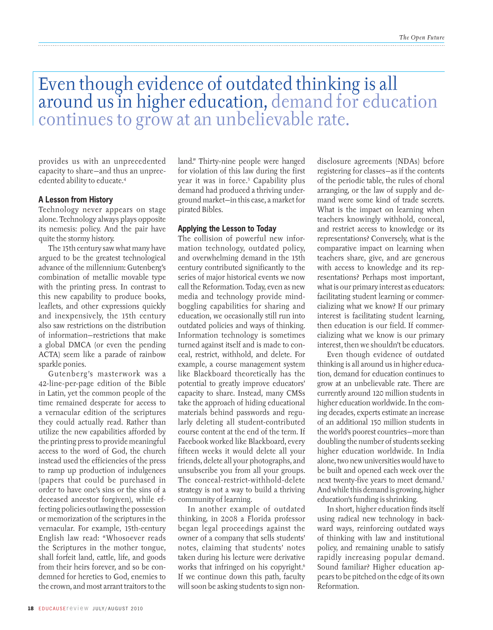## Even though evidence of outdated thinking is all around us in higher education, demand for education continues to grow at an unbelievable rate.

provides us with an unprecedented capacity to share—and thus an unprecedented ability to educate.4

#### **A Lesson from History**

Technology never appears on stage alone. Technology always plays opposite its nemesis: policy. And the pair have quite the stormy history.

The 15th century saw what many have argued to be the greatest technological advance of the millennium: Gutenberg's combination of metallic movable type with the printing press. In contrast to this new capability to produce books, leaflets, and other expressions quickly and inexpensively, the 15th century also saw restrictions on the distribution of information—restrictions that make a global DMCA (or even the pending ACTA) seem like a parade of rainbow sparkle ponies.

Gutenberg's masterwork was a 42-line-per-page edition of the Bible in Latin, yet the common people of the time remained desperate for access to a vernacular edition of the scriptures they could actually read. Rather than utilize the new capabilities afforded by the printing press to provide meaningful access to the word of God, the church instead used the efficiencies of the press to ramp up production of indulgences (papers that could be purchased in order to have one's sins or the sins of a deceased ancestor forgiven), while effecting policies outlawing the possession or memorization of the scriptures in the vernacular. For example, 15th-century English law read: "Whosoever reads the Scriptures in the mother tongue, shall forfeit land, cattle, life, and goods from their heirs forever, and so be condemned for heretics to God, enemies to the crown, and most arrant traitors to the land." Thirty-nine people were hanged for violation of this law during the first year it was in force.<sup>5</sup> Capability plus demand had produced a thriving underground market—in this case, a market for pirated Bibles.

#### **Applying the Lesson to Today**

The collision of powerful new information technology, outdated policy, and overwhelming demand in the 15th century contributed significantly to the series of major historical events we now call the Reformation. Today, even as new media and technology provide mindboggling capabilities for sharing and education, we occasionally still run into outdated policies and ways of thinking. Information technology is sometimes turned against itself and is made to conceal, restrict, withhold, and delete. For example, a course management system like Blackboard theoretically has the potential to greatly improve educators' capacity to share. Instead, many CMSs take the approach of hiding educational materials behind passwords and regularly deleting all student-contributed course content at the end of the term. If Facebook worked like Blackboard, every fifteen weeks it would delete all your friends, delete all your photographs, and unsubscribe you from all your groups. The conceal-restrict-withhold-delete strategy is not a way to build a thriving community of learning.

In another example of outdated thinking, in 2008 a Florida professor began legal proceedings against the owner of a company that sells students' notes, claiming that students' notes taken during his lecture were derivative works that infringed on his copyright.<sup>6</sup> If we continue down this path, faculty will soon be asking students to sign nondisclosure agreements (NDAs) before registering for classes—as if the contents of the periodic table, the rules of choral arranging, or the law of supply and demand were some kind of trade secrets. What is the impact on learning when teachers knowingly withhold, conceal, and restrict access to knowledge or its representations? Conversely, what is the comparative impact on learning when teachers share, give, and are generous with access to knowledge and its representations? Perhaps most important, what is our primary interest as educators: facilitating student learning or commercializing what we know? If our primary interest is facilitating student learning, then education is our field. If commercializing what we know is our primary interest, then we shouldn't be educators.

Even though evidence of outdated thinking is all around us in higher education, demand for education continues to grow at an unbelievable rate. There are currently around 120 million students in higher education worldwide. In the coming decades, experts estimate an increase of an additional 150 million students in the world's poorest countries—more than doubling the number of students seeking higher education worldwide. In India alone, two new universities would have to be built and opened each week over the next twenty-five years to meet demand.7 And while this demand is growing, higher education's funding is shrinking.

In short, higher education finds itself using radical new technology in backward ways, reinforcing outdated ways of thinking with law and institutional policy, and remaining unable to satisfy rapidly increasing popular demand. Sound familiar? Higher education appears to be pitched on the edge of its own Reformation.